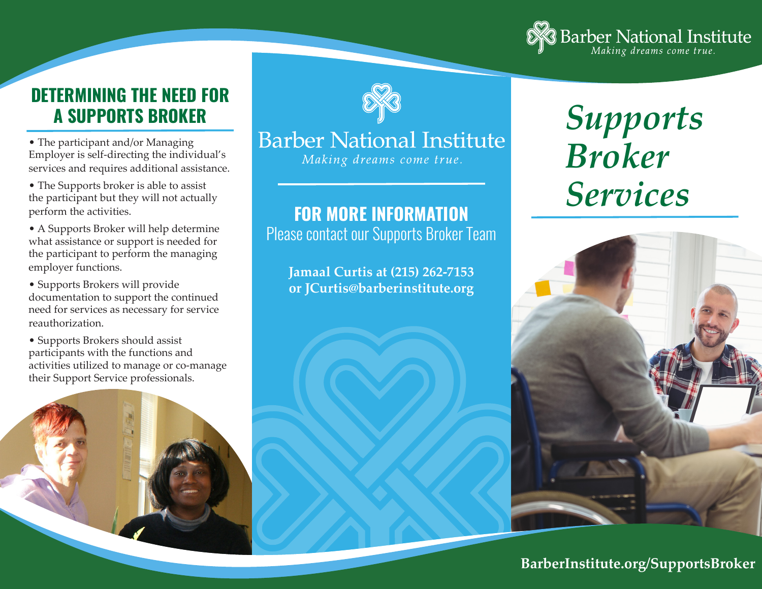

### **DETERMINING THE NEED FOR A SUPPORTS BROKER**

• The participant and/or Managing Employer is self-directing the individual's services and requires additional assistance.

• The Supports broker is able to assist the participant but they will not actually perform the activities.

• A Supports Broker will help determine what assistance or support is needed for the participant to perform the managing employer functions.

• Supports Brokers will provide documentation to support the continued need for services as necessary for service reauthorization.

• Supports Brokers should assist participants with the functions and activities utilized to manage or co-manage their Support Service professionals.





## **Barber National Institute**

Making dreams come true.

#### **FOR MORE INFORMATION**

Please contact our Supports Broker Team

**Jamaal Curtis at (215) 262-7153 or JCurtis@barberinstitute.org**

# *Supports Broker Services*



#### **BarberInstitute.org/SupportsBroker**